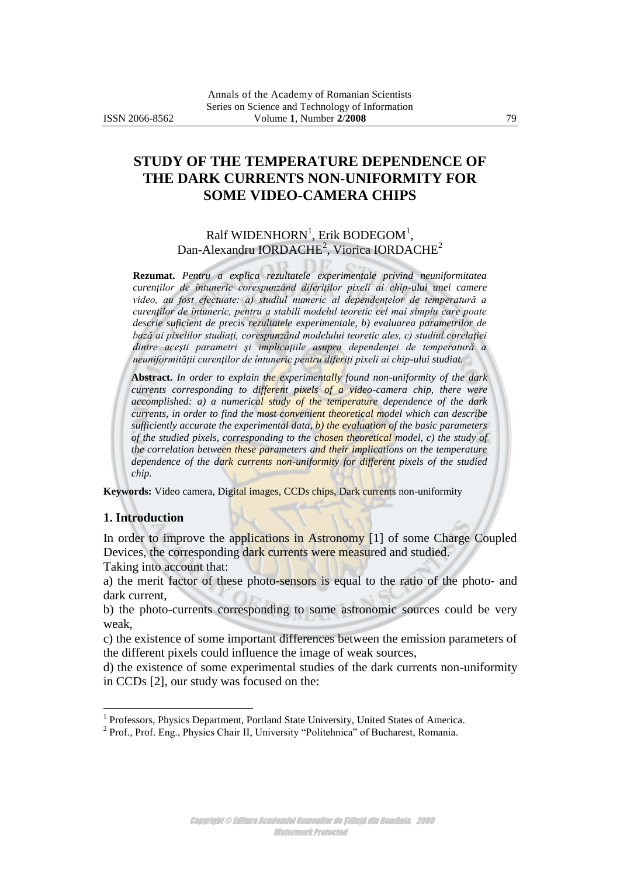# **STUDY OF THE TEMPERATURE DEPENDENCE OF THE DARK CURRENTS NON-UNIFORMITY FOR SOME VIDEO-CAMERA CHIPS**

Ralf WIDENHORN $^{\rm l}$ , Erik BODEGOM $^{\rm l}$ , Dan-Alexandru IORDACHE<sup>2</sup>, Viorica IORDACHE<sup>2</sup>

**Rezumat.** *Pentru a explica rezultatele experimentale privind neuniformitatea curenţilor de întuneric corespunzând diferiţilor pixeli ai chip-ului unei camere video, au fost efectuate: a) studiul numeric al dependenţelor de temperatură a curenţilor de întuneric, pentru a stabili modelul teoretic cel mai simplu care poate descrie suficient de precis rezultatele experimentale, b) evaluarea parametrilor de bază ai pixelilor studiaţi, corespunzând modelului teoretic ales, c) studiul corelaţiei dintre aceşti parametri şi implicaţiile asupra dependenţei de temperatură a neuniformităţii curenţilor de întuneric pentru diferiţi pixeli ai chip-ului studiat.* 

**Abstract.** *In order to explain the experimentally found non-uniformity of the dark currents corresponding to different pixels of a video-camera chip, there were accomplished: a) a numerical study of the temperature dependence of the dark currents, in order to find the most convenient theoretical model which can describe sufficiently accurate the experimental data, b) the evaluation of the basic parameters of the studied pixels, corresponding to the chosen theoretical model, c) the study of the correlation between these parameters and their implications on the temperature dependence of the dark currents non-uniformity for different pixels of the studied chip.* 

**Keywords:** Video camera, Digital images, CCDs chips, Dark currents non-uniformity

## **1. Introduction**

 $\overline{a}$ 

In order to improve the applications in Astronomy [1] of some Charge Coupled Devices, the corresponding dark currents were measured and studied.

Taking into account that:

a) the merit factor of these photo-sensors is equal to the ratio of the photo- and dark current,

b) the photo-currents corresponding to some astronomic sources could be very weak,

c) the existence of some important differences between the emission parameters of the different pixels could influence the image of weak sources,

d) the existence of some experimental studies of the dark currents non-uniformity in CCDs [2], our study was focused on the:

<sup>&</sup>lt;sup>1</sup> Professors, Physics Department, Portland State University, United States of America.

<sup>&</sup>lt;sup>2</sup> Prof., Prof. Eng., Physics Chair II, University "Politehnica" of Bucharest, Romania.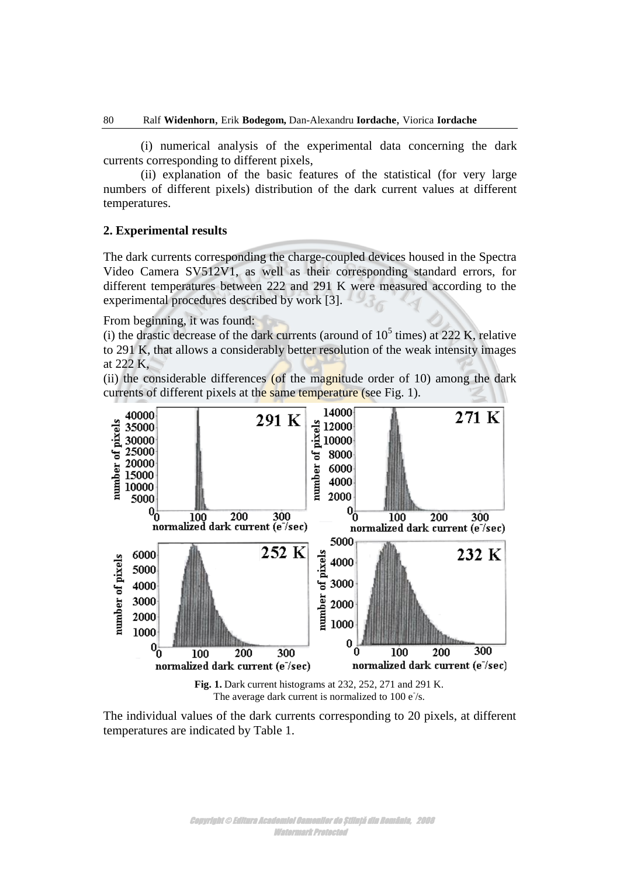(i) numerical analysis of the experimental data concerning the dark currents corresponding to different pixels,

(ii) explanation of the basic features of the statistical (for very large numbers of different pixels) distribution of the dark current values at different temperatures.

## **2. Experimental results**

The dark currents corresponding the charge-coupled devices housed in the Spectra Video Camera SV512V1, as well as their corresponding standard errors, for different temperatures between 222 and 291 K were measured according to the experimental procedures described by work [3].

From beginning, it was found:

(i) the drastic decrease of the dark currents (around of  $10^5$  times) at 222 K, relative to 291 K, that allows a considerably better resolution of the weak intensity images at 222 K,

(ii) the considerable differences (of the magnitude order of 10) among the dark currents of different pixels at the same temperature (see Fig. 1).



**Fig. 1.** Dark current histograms at 232, 252, 271 and 291 K. The average dark current is normalized to  $100 e^{-1}$ s.

The individual values of the dark currents corresponding to 20 pixels, at different temperatures are indicated by Table 1.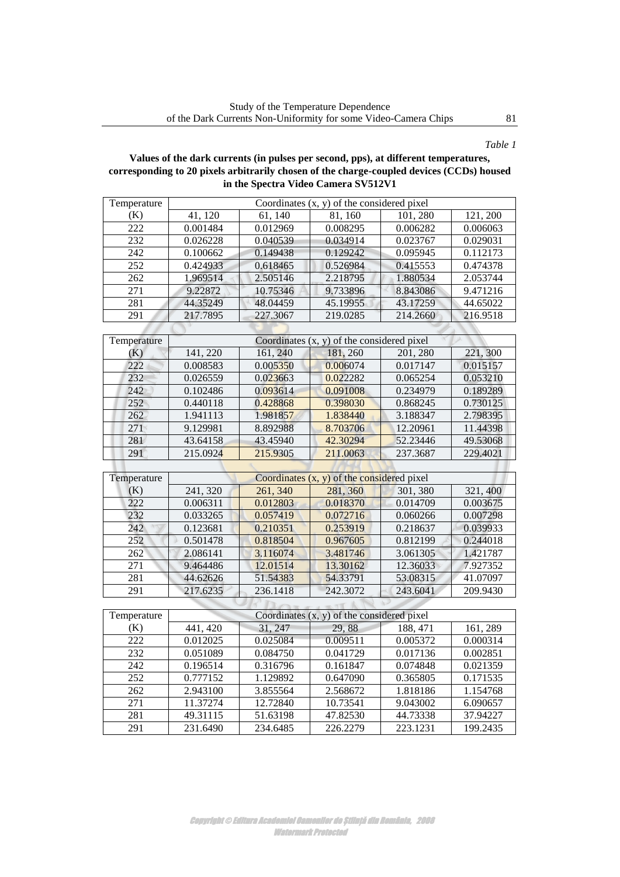# *Table 1*

## **Values of the dark currents (in pulses per second, pps), at different temperatures, corresponding to 20 pixels arbitrarily chosen of the charge-coupled devices (CCDs) housed in the Spectra Video Camera SV512V1**

| 41, 120<br>61, 140<br>121, 200<br>(K)<br>81, 160<br>101, 280<br>222<br>0.001484<br>0.012969<br>0.008295<br>0.006282<br>0.006063<br>$\overline{232}$<br>0.040539<br>0.026228<br>0.034914<br>0.023767<br>0.029031<br>242<br>0.100662<br>0.149438<br>0.129242<br>0.095945<br>0.112173<br>252<br>0.424933<br>0.618465<br>0.526984<br>0.415553<br>0.474378<br>262<br>1.969514<br>2.505146<br>2.218795<br>1.880534<br>2.053744<br>$\overline{271}$<br>9.22872<br>10.75346<br>9.733896<br>8.843086<br>9.471216<br>281<br>44.35249<br>48.04459<br>45.19955<br>43.17259<br>44.65022<br>$\overline{291}$<br>217.7895<br>219.0285<br>214.2660<br>227.3067<br>216.9518<br>Temperature<br>Coordinates $(x, y)$ of the considered pixel<br>141, 220<br>161, 240<br>181, 260<br>221, 300<br>(K)<br>201, 280<br>222<br>0.005350<br>0.006074<br>0.008583<br>0.017147<br>0.015157<br>232<br>0.026559<br>0.023663<br>0.022282<br>0.065254<br>0.053210<br>242<br>0.102486<br>0.093614<br>0.091008<br>0.234979<br>0.189289<br>252<br>0.428868<br>0.398030<br>0.868245<br>0.730125<br>0.440118<br>262<br>1.981857<br>1.838440<br>3.188347<br>2.798395<br>1.941113<br>271<br>9.129981<br>8.892988<br>8.703706<br>12.20961<br>11.44398<br>281<br>43.64158<br>43.45940<br>42.30294<br>52.23446<br>49.53068<br>291<br>215.0924<br>215.9305<br>211.0063<br>237.3687<br>229.4021<br>Coordinates $(x, y)$ of the considered pixel<br>Temperature<br>241, 320<br>261, 340<br>281, 360<br>301, 380<br>321,400<br>(K)<br>222<br>0.006311<br>0.012803<br>0.018370<br>0.014709<br>0.003675 | Temperature | Coordinates $(x, y)$ of the considered pixel |          |          |          |          |  |  |
|----------------------------------------------------------------------------------------------------------------------------------------------------------------------------------------------------------------------------------------------------------------------------------------------------------------------------------------------------------------------------------------------------------------------------------------------------------------------------------------------------------------------------------------------------------------------------------------------------------------------------------------------------------------------------------------------------------------------------------------------------------------------------------------------------------------------------------------------------------------------------------------------------------------------------------------------------------------------------------------------------------------------------------------------------------------------------------------------------------------------------------------------------------------------------------------------------------------------------------------------------------------------------------------------------------------------------------------------------------------------------------------------------------------------------------------------------------------------------------------------------------------------------------------------------------|-------------|----------------------------------------------|----------|----------|----------|----------|--|--|
|                                                                                                                                                                                                                                                                                                                                                                                                                                                                                                                                                                                                                                                                                                                                                                                                                                                                                                                                                                                                                                                                                                                                                                                                                                                                                                                                                                                                                                                                                                                                                          |             |                                              |          |          |          |          |  |  |
|                                                                                                                                                                                                                                                                                                                                                                                                                                                                                                                                                                                                                                                                                                                                                                                                                                                                                                                                                                                                                                                                                                                                                                                                                                                                                                                                                                                                                                                                                                                                                          |             |                                              |          |          |          |          |  |  |
|                                                                                                                                                                                                                                                                                                                                                                                                                                                                                                                                                                                                                                                                                                                                                                                                                                                                                                                                                                                                                                                                                                                                                                                                                                                                                                                                                                                                                                                                                                                                                          |             |                                              |          |          |          |          |  |  |
|                                                                                                                                                                                                                                                                                                                                                                                                                                                                                                                                                                                                                                                                                                                                                                                                                                                                                                                                                                                                                                                                                                                                                                                                                                                                                                                                                                                                                                                                                                                                                          |             |                                              |          |          |          |          |  |  |
|                                                                                                                                                                                                                                                                                                                                                                                                                                                                                                                                                                                                                                                                                                                                                                                                                                                                                                                                                                                                                                                                                                                                                                                                                                                                                                                                                                                                                                                                                                                                                          |             |                                              |          |          |          |          |  |  |
|                                                                                                                                                                                                                                                                                                                                                                                                                                                                                                                                                                                                                                                                                                                                                                                                                                                                                                                                                                                                                                                                                                                                                                                                                                                                                                                                                                                                                                                                                                                                                          |             |                                              |          |          |          |          |  |  |
|                                                                                                                                                                                                                                                                                                                                                                                                                                                                                                                                                                                                                                                                                                                                                                                                                                                                                                                                                                                                                                                                                                                                                                                                                                                                                                                                                                                                                                                                                                                                                          |             |                                              |          |          |          |          |  |  |
|                                                                                                                                                                                                                                                                                                                                                                                                                                                                                                                                                                                                                                                                                                                                                                                                                                                                                                                                                                                                                                                                                                                                                                                                                                                                                                                                                                                                                                                                                                                                                          |             |                                              |          |          |          |          |  |  |
|                                                                                                                                                                                                                                                                                                                                                                                                                                                                                                                                                                                                                                                                                                                                                                                                                                                                                                                                                                                                                                                                                                                                                                                                                                                                                                                                                                                                                                                                                                                                                          |             |                                              |          |          |          |          |  |  |
|                                                                                                                                                                                                                                                                                                                                                                                                                                                                                                                                                                                                                                                                                                                                                                                                                                                                                                                                                                                                                                                                                                                                                                                                                                                                                                                                                                                                                                                                                                                                                          |             |                                              |          |          |          |          |  |  |
|                                                                                                                                                                                                                                                                                                                                                                                                                                                                                                                                                                                                                                                                                                                                                                                                                                                                                                                                                                                                                                                                                                                                                                                                                                                                                                                                                                                                                                                                                                                                                          |             |                                              |          |          |          |          |  |  |
|                                                                                                                                                                                                                                                                                                                                                                                                                                                                                                                                                                                                                                                                                                                                                                                                                                                                                                                                                                                                                                                                                                                                                                                                                                                                                                                                                                                                                                                                                                                                                          |             |                                              |          |          |          |          |  |  |
|                                                                                                                                                                                                                                                                                                                                                                                                                                                                                                                                                                                                                                                                                                                                                                                                                                                                                                                                                                                                                                                                                                                                                                                                                                                                                                                                                                                                                                                                                                                                                          |             |                                              |          |          |          |          |  |  |
|                                                                                                                                                                                                                                                                                                                                                                                                                                                                                                                                                                                                                                                                                                                                                                                                                                                                                                                                                                                                                                                                                                                                                                                                                                                                                                                                                                                                                                                                                                                                                          |             |                                              |          |          |          |          |  |  |
|                                                                                                                                                                                                                                                                                                                                                                                                                                                                                                                                                                                                                                                                                                                                                                                                                                                                                                                                                                                                                                                                                                                                                                                                                                                                                                                                                                                                                                                                                                                                                          |             |                                              |          |          |          |          |  |  |
|                                                                                                                                                                                                                                                                                                                                                                                                                                                                                                                                                                                                                                                                                                                                                                                                                                                                                                                                                                                                                                                                                                                                                                                                                                                                                                                                                                                                                                                                                                                                                          |             |                                              |          |          |          |          |  |  |
|                                                                                                                                                                                                                                                                                                                                                                                                                                                                                                                                                                                                                                                                                                                                                                                                                                                                                                                                                                                                                                                                                                                                                                                                                                                                                                                                                                                                                                                                                                                                                          |             |                                              |          |          |          |          |  |  |
|                                                                                                                                                                                                                                                                                                                                                                                                                                                                                                                                                                                                                                                                                                                                                                                                                                                                                                                                                                                                                                                                                                                                                                                                                                                                                                                                                                                                                                                                                                                                                          |             |                                              |          |          |          |          |  |  |
|                                                                                                                                                                                                                                                                                                                                                                                                                                                                                                                                                                                                                                                                                                                                                                                                                                                                                                                                                                                                                                                                                                                                                                                                                                                                                                                                                                                                                                                                                                                                                          |             |                                              |          |          |          |          |  |  |
|                                                                                                                                                                                                                                                                                                                                                                                                                                                                                                                                                                                                                                                                                                                                                                                                                                                                                                                                                                                                                                                                                                                                                                                                                                                                                                                                                                                                                                                                                                                                                          |             |                                              |          |          |          |          |  |  |
|                                                                                                                                                                                                                                                                                                                                                                                                                                                                                                                                                                                                                                                                                                                                                                                                                                                                                                                                                                                                                                                                                                                                                                                                                                                                                                                                                                                                                                                                                                                                                          |             |                                              |          |          |          |          |  |  |
|                                                                                                                                                                                                                                                                                                                                                                                                                                                                                                                                                                                                                                                                                                                                                                                                                                                                                                                                                                                                                                                                                                                                                                                                                                                                                                                                                                                                                                                                                                                                                          |             |                                              |          |          |          |          |  |  |
|                                                                                                                                                                                                                                                                                                                                                                                                                                                                                                                                                                                                                                                                                                                                                                                                                                                                                                                                                                                                                                                                                                                                                                                                                                                                                                                                                                                                                                                                                                                                                          |             |                                              |          |          |          |          |  |  |
|                                                                                                                                                                                                                                                                                                                                                                                                                                                                                                                                                                                                                                                                                                                                                                                                                                                                                                                                                                                                                                                                                                                                                                                                                                                                                                                                                                                                                                                                                                                                                          |             |                                              |          |          |          |          |  |  |
|                                                                                                                                                                                                                                                                                                                                                                                                                                                                                                                                                                                                                                                                                                                                                                                                                                                                                                                                                                                                                                                                                                                                                                                                                                                                                                                                                                                                                                                                                                                                                          | 232         | 0.033265                                     | 0.057419 | 0.072716 | 0.060266 | 0.007298 |  |  |
| 242<br>0.123681<br>0.210351<br>0.253919<br>0.218637<br>0.039933                                                                                                                                                                                                                                                                                                                                                                                                                                                                                                                                                                                                                                                                                                                                                                                                                                                                                                                                                                                                                                                                                                                                                                                                                                                                                                                                                                                                                                                                                          |             |                                              |          |          |          |          |  |  |
| 252<br>0.501478<br>0.967605<br>0.244018<br>0.818504<br>0.812199                                                                                                                                                                                                                                                                                                                                                                                                                                                                                                                                                                                                                                                                                                                                                                                                                                                                                                                                                                                                                                                                                                                                                                                                                                                                                                                                                                                                                                                                                          |             |                                              |          |          |          |          |  |  |
| 262<br>2.086141<br>3.116074<br>3.481746<br>3.061305<br>1.421787                                                                                                                                                                                                                                                                                                                                                                                                                                                                                                                                                                                                                                                                                                                                                                                                                                                                                                                                                                                                                                                                                                                                                                                                                                                                                                                                                                                                                                                                                          |             |                                              |          |          |          |          |  |  |
| 12.01514<br>271<br>9.464486<br>13.30162<br>12.36033<br>7.927352                                                                                                                                                                                                                                                                                                                                                                                                                                                                                                                                                                                                                                                                                                                                                                                                                                                                                                                                                                                                                                                                                                                                                                                                                                                                                                                                                                                                                                                                                          |             |                                              |          |          |          |          |  |  |
| 281<br>44.62626<br>51.54383<br>54.33791<br>53.08315<br>41.07097                                                                                                                                                                                                                                                                                                                                                                                                                                                                                                                                                                                                                                                                                                                                                                                                                                                                                                                                                                                                                                                                                                                                                                                                                                                                                                                                                                                                                                                                                          |             |                                              |          |          |          |          |  |  |
| 291<br>217.6235<br>236.1418<br>242.3072<br>243.6041<br>209.9430                                                                                                                                                                                                                                                                                                                                                                                                                                                                                                                                                                                                                                                                                                                                                                                                                                                                                                                                                                                                                                                                                                                                                                                                                                                                                                                                                                                                                                                                                          |             |                                              |          |          |          |          |  |  |
|                                                                                                                                                                                                                                                                                                                                                                                                                                                                                                                                                                                                                                                                                                                                                                                                                                                                                                                                                                                                                                                                                                                                                                                                                                                                                                                                                                                                                                                                                                                                                          |             |                                              |          |          |          |          |  |  |
| Temperature<br>Coordinates $(x, y)$ of the considered pixel                                                                                                                                                                                                                                                                                                                                                                                                                                                                                                                                                                                                                                                                                                                                                                                                                                                                                                                                                                                                                                                                                                                                                                                                                                                                                                                                                                                                                                                                                              |             |                                              |          |          |          |          |  |  |
| (K)<br>441, 420<br>31, 247<br>29,88<br>188, 471<br>161, 289                                                                                                                                                                                                                                                                                                                                                                                                                                                                                                                                                                                                                                                                                                                                                                                                                                                                                                                                                                                                                                                                                                                                                                                                                                                                                                                                                                                                                                                                                              |             |                                              |          |          |          |          |  |  |
| 222<br>0.012025<br>0.025084<br>0.009511<br>0.005372<br>0.000314                                                                                                                                                                                                                                                                                                                                                                                                                                                                                                                                                                                                                                                                                                                                                                                                                                                                                                                                                                                                                                                                                                                                                                                                                                                                                                                                                                                                                                                                                          |             |                                              |          |          |          |          |  |  |
| 232<br>0.051089<br>0.084750<br>0.041729<br>0.002851<br>0.017136                                                                                                                                                                                                                                                                                                                                                                                                                                                                                                                                                                                                                                                                                                                                                                                                                                                                                                                                                                                                                                                                                                                                                                                                                                                                                                                                                                                                                                                                                          |             |                                              |          |          |          |          |  |  |
| 0.196514<br>242<br>0.316796<br>0.161847<br>0.074848<br>0.021359                                                                                                                                                                                                                                                                                                                                                                                                                                                                                                                                                                                                                                                                                                                                                                                                                                                                                                                                                                                                                                                                                                                                                                                                                                                                                                                                                                                                                                                                                          |             |                                              |          |          |          |          |  |  |
| 252<br>0.777152<br>1.129892<br>0.647090<br>0.365805<br>0.171535                                                                                                                                                                                                                                                                                                                                                                                                                                                                                                                                                                                                                                                                                                                                                                                                                                                                                                                                                                                                                                                                                                                                                                                                                                                                                                                                                                                                                                                                                          |             |                                              |          |          |          |          |  |  |
| 262<br>2.943100<br>3.855564<br>2.568672<br>1.154768<br>1.818186                                                                                                                                                                                                                                                                                                                                                                                                                                                                                                                                                                                                                                                                                                                                                                                                                                                                                                                                                                                                                                                                                                                                                                                                                                                                                                                                                                                                                                                                                          |             |                                              |          |          |          |          |  |  |
| 271<br>11.37274<br>10.73541<br>9.043002<br>12.72840<br>6.090657                                                                                                                                                                                                                                                                                                                                                                                                                                                                                                                                                                                                                                                                                                                                                                                                                                                                                                                                                                                                                                                                                                                                                                                                                                                                                                                                                                                                                                                                                          |             |                                              |          |          |          |          |  |  |
| 37.94227<br>281<br>49.31115<br>51.63198<br>47.82530<br>44.73338                                                                                                                                                                                                                                                                                                                                                                                                                                                                                                                                                                                                                                                                                                                                                                                                                                                                                                                                                                                                                                                                                                                                                                                                                                                                                                                                                                                                                                                                                          |             |                                              |          |          |          |          |  |  |
| 291<br>199.2435<br>231.6490<br>234.6485<br>226.2279<br>223.1231                                                                                                                                                                                                                                                                                                                                                                                                                                                                                                                                                                                                                                                                                                                                                                                                                                                                                                                                                                                                                                                                                                                                                                                                                                                                                                                                                                                                                                                                                          |             |                                              |          |          |          |          |  |  |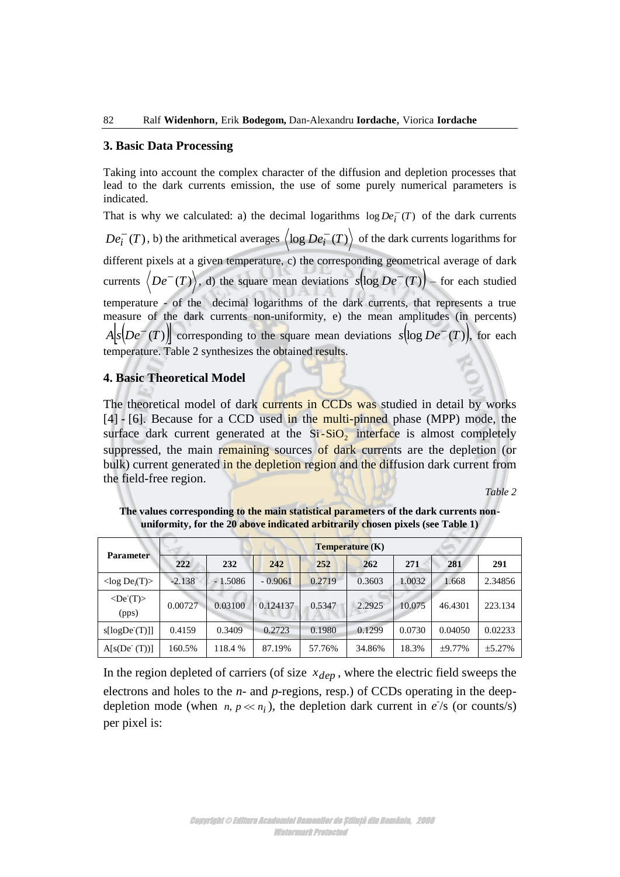### **3. Basic Data Processing**

Taking into account the complex character of the diffusion and depletion processes that lead to the dark currents emission, the use of some purely numerical parameters is indicated.

That is why we calculated: a) the decimal logarithms  $\log De_i^-(T)$  of the dark currents  $De_i^-(T)$  $\overline{f}_i^-(T)$ , b) the arithmetical averages  $\langle \log De_i^-(T) \rangle$  of the dark currents logarithms for different pixels at a given temperature, c) the corresponding geometrical average of dark currents  $\langle De^{-}(T) \rangle$ , d) the square mean deviations  $s(\log De^{-}(T))$  – for each studied temperature - of the decimal logarithms of the dark currents, that represents a true measure of the dark currents non-uniformity, e) the mean amplitudes (in percents)  $A[s(De^{-}(T))]$  corresponding to the square mean deviations  $s(\log De^{-}(T))$ , for each temperature. Table 2 synthesizes the obtained results.

## **4. Basic Theoretical Model**

The theoretical model of dark currents in CCDs was studied in detail by works [4] - [6]. Because for a CCD used in the multi-pinned phase (MPP) mode, the surface dark current generated at the  $Si-SiO<sub>2</sub>$  interface is almost completely suppressed, the main remaining sources of dark currents are the depletion (or bulk) current generated in the depletion region and the diffusion dark current from the field-free region.

*Table 2* 

|                                  | <b>Temperature</b> (K) |           |           |        |        |        |              |          |
|----------------------------------|------------------------|-----------|-----------|--------|--------|--------|--------------|----------|
| <b>Parameter</b>                 | 222                    | 232       | 242       | 252    | 262    | 271    | 281          | 291      |
| $\langle \log De_i(T) \rangle$   | $-2.138$               | $-1.5086$ | $-0.9061$ | 0.2719 | 0.3603 | 1.0032 | 1.668        | 2.34856  |
| $\langle De(T) \rangle$<br>(pps) | 0.00727                | 0.03100   | 0.124137  | 0.5347 | 2.2925 | 10.075 | 46.4301      | 223.134  |
| s[logDe(T)]                      | 0.4159                 | 0.3409    | 0.2723    | 0.1980 | 0.1299 | 0.0730 | 0.04050      | 0.02233  |
| A[s(De(T))]                      | 160.5%                 | 118.4 %   | 87.19%    | 57.76% | 34.86% | 18.3%  | $\pm 9.77\%$ | $+5.27%$ |

**The values corresponding to the main statistical parameters of the dark currents nonuniformity, for the 20 above indicated arbitrarily chosen pixels (see Table 1)** 

In the region depleted of carriers (of size  $x_{dep}$ , where the electric field sweeps the electrons and holes to the *n*- and *p*-regions, resp.) of CCDs operating in the deepdepletion mode (when  $n, p \ll n_i$ ), the depletion dark current in  $e^t$ s (or counts/s) per pixel is: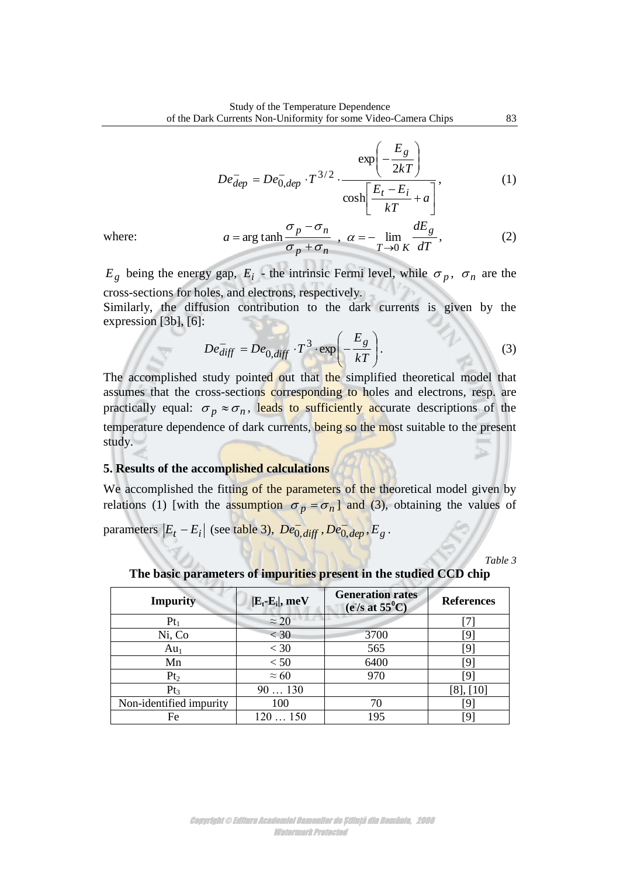$$
De_{dep}^{-} = De_{0,dep}^{-} \cdot T^{3/2} \cdot \frac{\exp\left(-\frac{E_g}{2kT}\right)}{\cosh\left[\frac{E_t - E_i}{kT} + a\right]},
$$
 (1)

where:

$$
a = \arg \tanh \frac{\sigma_p - \sigma_n}{\sigma_p + \sigma_n} \; , \; \alpha = -\lim_{T \to 0} \frac{dE_g}{dT}, \qquad (2)
$$

 $E_g$  being the energy gap,  $E_i$  - the intrinsic Fermi level, while  $\sigma_p$ ,  $\sigma_n$  are the cross-sections for holes, and electrons, respectively.

Similarly, the diffusion contribution to the dark currents is given by the expression [3b], [6]:

$$
De_{diff}^- = De_{0,diff} \cdot T^3 \cdot \exp\left(-\frac{E_g}{kT}\right). \tag{3}
$$

The accomplished study pointed out that the simplified theoretical model that assumes that the cross-sections corresponding to holes and electrons, resp. are practically equal:  $\sigma_p \approx \sigma_n$ , leads to sufficiently accurate descriptions of the temperature dependence of dark currents, being so the most suitable to the present study.

# **5. Results of the accomplished calculations**

We accomplished the fitting of the parameters of the theoretical model given by relations (1) [with the assumption  $\sigma_p = \sigma_n$ ] and (3), obtaining the values of

parameters  $|E_t - E_i|$  (see table 3),  $De^-_{0, \text{diff}}$ ,  $De^-_{0, \text{dep}}$ ,  $E_g$ .

*Table 3* 

**The basic parameters of impurities present in the studied CCD chip** 

| <b>Impurity</b>         | $\left  \mathbf{E}_\text{t} \mathbf{\text{-}E}_\text{i} \right $ , meV | <b>Generation rates</b><br>$(e^t/s$ at $55^0C$ | <b>References</b> |
|-------------------------|------------------------------------------------------------------------|------------------------------------------------|-------------------|
| $Pt_1$                  | $\approx$ 20                                                           |                                                |                   |
| Ni, Co                  | $<$ 30                                                                 | 3700                                           | 191               |
| $Au_1$                  | $< 30$                                                                 | 565                                            | 19.               |
| Mn                      | < 50                                                                   | 6400                                           | [9]               |
| Pt <sub>2</sub>         | $\approx 60$                                                           | 970                                            | [9]               |
| Pt <sub>3</sub>         | 90130                                                                  |                                                | $[8]$ , $[10]$    |
| Non-identified impurity | 100                                                                    | 70                                             | [9]               |
| Fe                      | 120150                                                                 | 195                                            | [9                |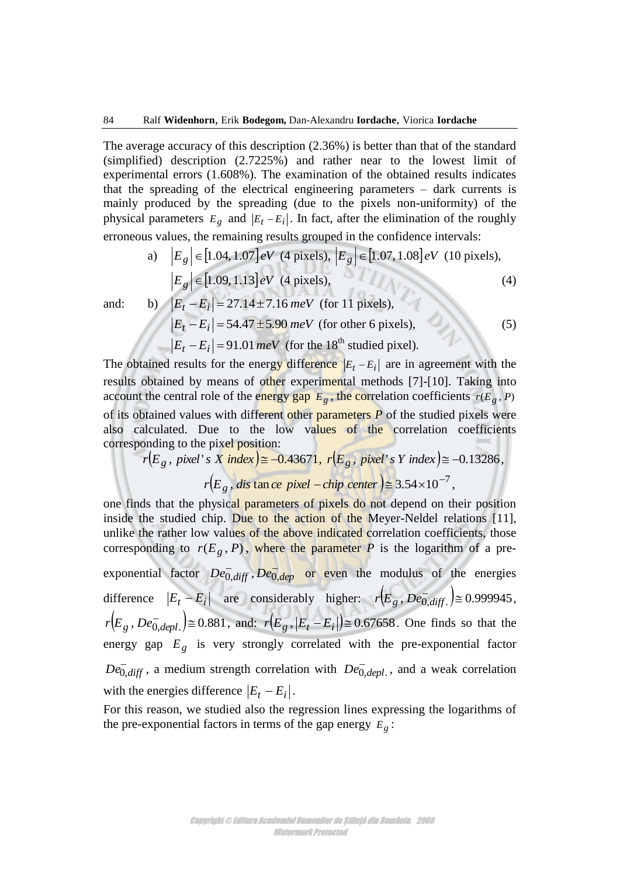The average accuracy of this description (2.36%) is better than that of the standard (simplified) description (2.7225%) and rather near to the lowest limit of experimental errors (1.608%). The examination of the obtained results indicates that the spreading of the electrical engineering parameters – dark currents is mainly produced by the spreading (due to the pixels non-uniformity) of the physical parameters  $E_g$  and  $|E_t - E_i|$ . In fact, after the elimination of the roughly erroneous values, the remaining results grouped in the confidence intervals:

a) 
$$
|E_g| \in [1.04, 1.07]eV
$$
 (4 pixels),  $|E_g| \in [1.07, 1.08]eV$  (10 pixels),  
\n $|E_g| \in [1.09, 1.13]eV$  (4 pixels),  
\nb)  $|E_t - E_i| = 27.14 \pm 7.16 \text{ meV}$  (for 11 pixels), (4)

and:

b) 
$$
|E_t - E_i| = 27.14 \pm 7.16 \text{ meV}
$$
 (for 11 pixels),  
\n $|E_t - E_i| = 54.47 \pm 5.90 \text{ meV}$  (for other 6 pixels),  
\n $|E_t - E_i| = 91.01 \text{ meV}$  (for the 18<sup>th</sup> studied pixel). (5)

The obtained results for the energy difference  $|E_t - E_i|$  are in agreement with the results obtained by means of other experimental methods [7]-[10]. Taking into account the central role of the energy gap  $E_g$ , the correlation coefficients  $r(E_g, P)$ of its obtained values with different other parameters *P* of the studied pixels were also calculated. Due to the low values of the correlation coefficients corresponding to the pixel position:

$$
r(E_g, pixel's \mid X \mid index) \cong -0.43671, r(E_g, pixel's \mid Y \mid index) \cong -0.13286,
$$
  

$$
r(E_g, disc) \text{tan } ce \mid pixel - chip \text{ center} \text{tan } x \le 3.54 \times 10^{-7},
$$

one finds that the physical parameters of pixels do not depend on their position inside the studied chip. Due to the action of the Meyer-Neldel relations [11], unlike the rather low values of the above indicated correlation coefficients, those corresponding to  $r(E_g, P)$ , where the parameter *P* is the logarithm of a preexponential factor  $De^{-}_{0,diff}$ ,  $De^{-}_{0,dep}$  or even the modulus of the energies difference  $|E_t - E_i|$  are considerably higher:  $r(E_g, De_{0,diff}^-) \approx 0.999945$ ,  $r(E_g, De_{0,depl.}^-) \approx 0.881$ , and:  $r(E_g, |E_t - E_i|) \approx 0.67658$ . One finds so that the energy gap  $E_g$  is very strongly correlated with the pre-exponential factor  $De^{-}_{0,diff}$ , a medium strength correlation with  $De^{-}_{0,depl}$ , and a weak correlation with the energies difference  $|E_t - E_i|$ .

For this reason, we studied also the regression lines expressing the logarithms of the pre-exponential factors in terms of the gap energy  $E_g$ :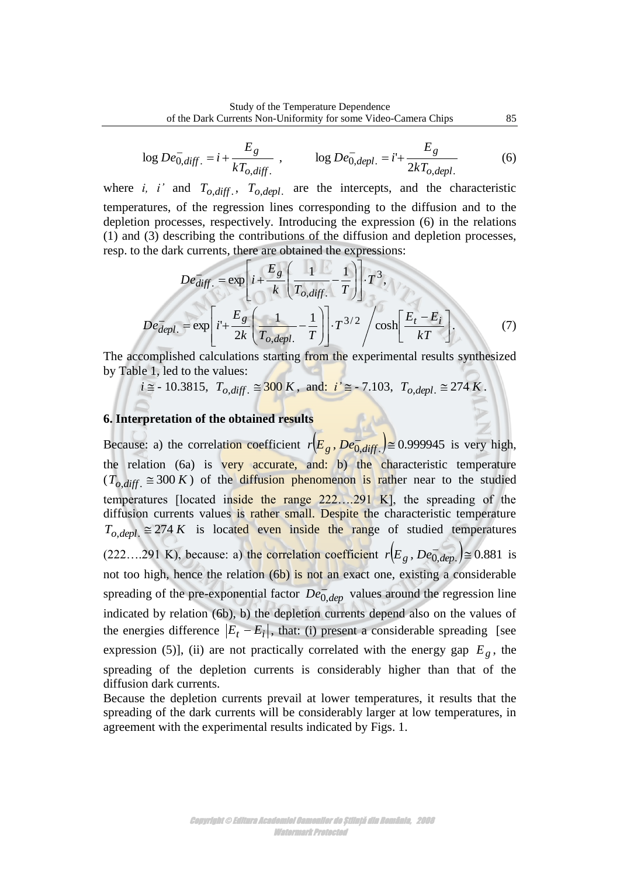$$
\log De^{-}_{0,diff.} = i + \frac{E_g}{kT_{o,diff.}}, \qquad \log De^{-}_{0,depl.} = i + \frac{E_g}{2kT_{o,depl.}} \tag{6}
$$

where *i*, *i* and  $T_{o,diff}$ .  $T_{o,depl}$  are the intercepts, and the characteristic temperatures, of the regression lines corresponding to the diffusion and to the depletion processes, respectively. Introducing the expression (6) in the relations (1) and (3) describing the contributions of the diffusion and depletion processes, resp. to the dark currents, there are obtained the expressions:

$$
De_{diff.}^{-} = \exp\left[i + \frac{E_g}{k} \left(\frac{1}{T_{o,diff.}} - \frac{1}{T}\right)\right] \cdot T^3,
$$
\n
$$
De_{depl.}^{-} = \exp\left[i + \frac{E_g}{2k} \left(\frac{1}{T_{o,depl.}} - \frac{1}{T}\right)\right] \cdot T^{3/2} / \cosh\left[\frac{E_t - E_i}{kT}\right].
$$
\n(7)

The accomplished calculations starting from the experimental results synthesized by Table 1, led to the values:

$$
i \approx -10.3815
$$
,  $T_{o,diff.} \approx 300 K$ , and:  $i' \approx -7.103$ ,  $T_{o,depl.} \approx 274 K$ .

# **6. Interpretation of the obtained results**

Because: a) the correlation coefficient  $r(E_g, De_{0,diff}^-) \ge 0.999945$  is very high, the relation (6a) is very accurate, and: b) the characteristic temperature  $(T_{o,diff}] \cong 300 K$  of the diffusion phenomenon is rather near to the studied temperatures [located inside the range 222….291 K], the spreading of the diffusion currents values is rather small. Despite the characteristic temperature  $T_{o,depl} \cong 274 K$  is located even inside the range of studied temperatures (222....291 K), because: a) the correlation coefficient  $r(E_g, De_{0,dep.}^-) \approx 0.881$  is not too high, hence the relation (6b) is not an exact one, existing a considerable spreading of the pre-exponential factor  $De^{-}_{0,dep}$  values around the regression line indicated by relation (6b), b) the depletion currents depend also on the values of the energies difference  $|E_t - E_i|$ , that: (i) present a considerable spreading [see expression (5)], (ii) are not practically correlated with the energy gap  $E<sub>g</sub>$ , the spreading of the depletion currents is considerably higher than that of the diffusion dark currents.

Because the depletion currents prevail at lower temperatures, it results that the spreading of the dark currents will be considerably larger at low temperatures, in agreement with the experimental results indicated by Figs. 1.